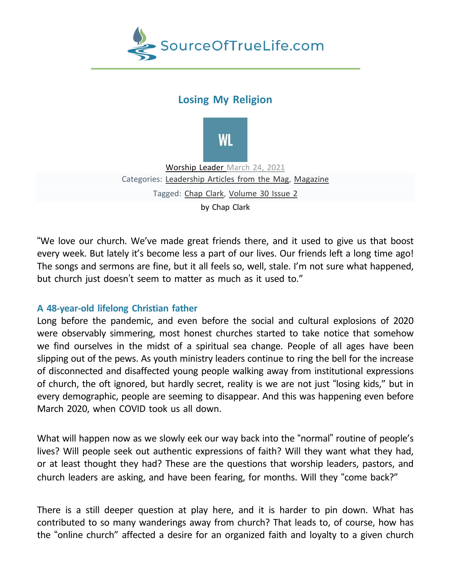

# **Losing My Religion**



[Worship](https://worshipleader.com/community/members/wlm/) Leader [March](https://worshipleader.com/magazine/leadership-magazine/losing-my-religion/) 24, 2021 Categories: [Leadership](https://worshipleader.com/category/magazine/leadership-magazine/) Articles from the Mag, [Magazine](https://worshipleader.com/category/magazine/) Tagged: Chap [Clark,](https://worshipleader.com/tag/chap-clark/) [Volume](https://worshipleader.com/tag/volume-30-issue-2/) 30 Issue 2 by Chap Clark

"We love our church. We've made great friends there, and it used to give us that boost every week. But lately it's become less a part of our lives. Our friends left a long time ago! The songs and sermons are fine, but it all feels so, well, stale. I'm not sure what happened, but church just doesn't seem to matter as much as it used to."

# **A 48-year-old lifelong Christian father**

Long before the pandemic, and even before the social and cultural explosions of 2020 were observably simmering, most honest churches started to take notice that somehow we find ourselves in the midst of a spiritual sea change. People of all ages have been slipping out of the pews. As youth ministry leaders continue to ring the bell for the increase of disconnected and disaffected young people walking away from institutional expressions of church, the oft ignored, but hardly secret, reality is we are not just "losing kids," but in every demographic, people are seeming to disappear. And this was happening even before March 2020, when COVID took us all down.

What will happen now as we slowly eek our way back into the "normal" routine of people's lives? Will people seek out authentic expressions of faith? Will they want what they had, or at least thought they had? These are the questions that worship leaders, pastors, and church leaders are asking, and have been fearing, for months. Will they "come back?"

There is a still deeper question at play here, and it is harder to pin down. What has contributed to so many wanderings away from church? That leads to, of course, how has the "online church" affected a desire for an organized faith and loyalty to a given church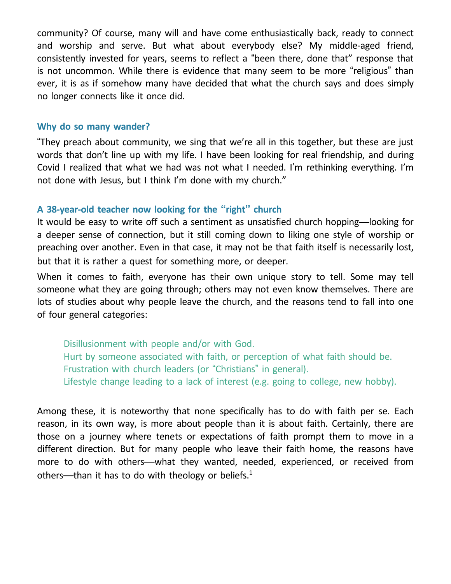community? Of course, many will and have come enthusiastically back, ready to connect and worship and serve. But what about everybody else? My middle-aged friend, consistently invested for years, seems to reflect a "been there, done that" response that is not uncommon. While there is evidence that many seem to be more "religious" than ever, it is as if somehow many have decided that what the church says and does simply no longer connects like it once did.

## **Why do so many wander?**

"They preach about community, we sing that we're all in this together, but these are just words that don't line up with my life. I have been looking for real friendship, and during Covid I realized that what we had was not what I needed. I'm rethinking everything. I'm not done with Jesus, but I think I'm done with my church."

## **A 38-year-old teacher now looking for the "right" church**

It would be easy to write off such a sentiment as unsatisfied church hopping—looking for a deeper sense of connection, but it still coming down to liking one style of worship or preaching over another. Even in that case, it may not be that faith itself is necessarily lost, but that it is rather a quest for something more, or deeper.

When it comes to faith, everyone has their own unique story to tell. Some may tell someone what they are going through; others may not even know themselves. There are lots of studies about why people leave the church, and the reasons tend to fall into one of four general categories:

Disillusionment with people and/or with God. Hurt by someone associated with faith, or perception of what faith should be. Frustration with church leaders (or "Christians" in general). Lifestyle change leading to a lack of interest (e.g. going to college, new hobby).

Among these, it is noteworthy that none specifically has to do with faith per se. Each reason, in its own way, is more about people than it is about faith. Certainly, there are those on a journey where tenets or expectations of faith prompt them to move in a different direction. But for many people who leave their faith home, the reasons have more to do with others—what they wanted, needed, experienced, or received from others—than it has to do with theology or beliefs.<sup>1</sup>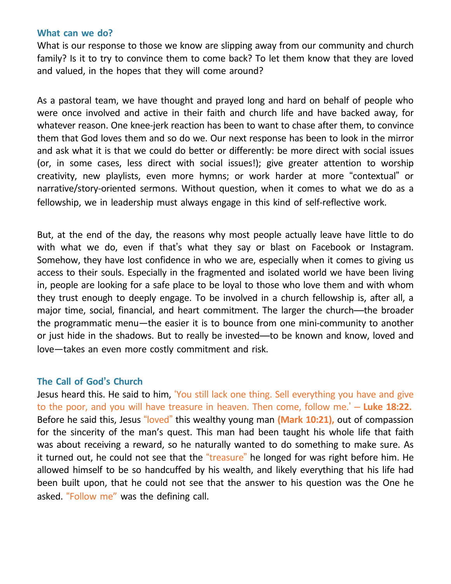#### **What can we do?**

What is our response to those we know are slipping away from our community and church family? Is it to try to convince them to come back? To let them know that they are loved and valued, in the hopes that they will come around?

As a pastoral team, we have thought and prayed long and hard on behalf of people who were once involved and active in their faith and church life and have backed away, for whatever reason. One knee-jerk reaction has been to want to chase after them, to convince them that God loves them and so do we. Our next response has been to look in the mirror and ask what it is that we could do better or differently: be more direct with social issues (or, in some cases, less direct with social issues!); give greater attention to worship creativity, new playlists, even more hymns; or work harder at more "contextual" or narrative/story-oriented sermons. Without question, when it comes to what we do as a fellowship, we in leadership must always engage in this kind of self-reflective work.

But, at the end of the day, the reasons why most people actually leave have little to do with what we do, even if that's what they say or blast on Facebook or Instagram. Somehow, they have lost confidence in who we are, especially when it comes to giving us access to their souls. Especially in the fragmented and isolated world we have been living in, people are looking for a safe place to be loyal to those who love them and with whom they trust enough to deeply engage. To be involved in a church fellowship is, after all, a major time, social, financial, and heart commitment. The larger the church—the broader the programmatic menu—the easier it is to bounce from one mini-community to another or just hide in the shadows. But to really be invested—to be known and know, loved and love—takes an even more costly commitment and risk.

# **The Call of God's Church**

Jesus heard this. He said to him, 'You still lack one thing. Sell everything you have and give to the poor, and you will have treasure in heaven. Then come, follow me.' – **Luke 18:22.** Before he said this, Jesus "loved" this wealthy young man **(Mark 10:21),** out of compassion for the sincerity of the man's quest. This man had been taught his whole life that faith was about receiving a reward, so he naturally wanted to do something to make sure. As it turned out, he could not see that the "treasure" he longed for was right before him. He allowed himself to be so handcuffed by his wealth, and likely everything that his life had been built upon, that he could not see that the answer to his question was the One he asked. "Follow me" was the defining call.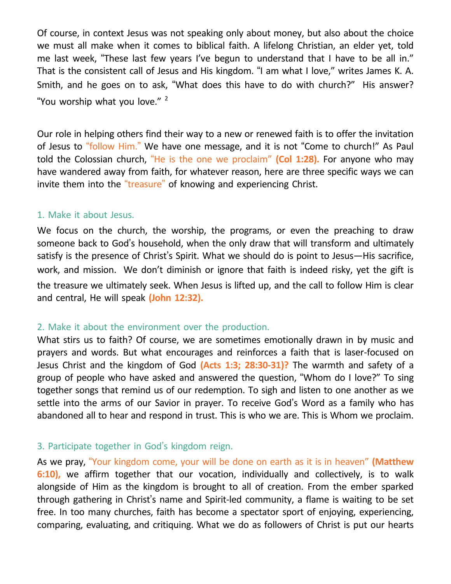Of course, in context Jesus was not speaking only about money, but also about the choice we must all make when it comes to biblical faith. A lifelong Christian, an elder yet, told me last week, "These last few years I've begun to understand that I have to be all in." That is the consistent call of Jesus and His kingdom. "I am what I love," writes James K. A. Smith, and he goes on to ask, "What does this have to do with church?" His answer? "You worship what you love."<sup>2</sup>

Our role in helping others find their way to a new or renewed faith is to offer the invitation of Jesus to "follow Him." We have one message, and it is not "Come to church!" As Paul told the Colossian church, "He is the one we proclaim" **(Col 1:28).** For anyone who may have wandered away from faith, for whatever reason, here are three specific ways we can invite them into the "treasure" of knowing and experiencing Christ.

## 1. Make it about Jesus.

We focus on the church, the worship, the programs, or even the preaching to draw someone back to God's household, when the only draw that will transform and ultimately satisfy is the presence of Christ's Spirit. What we should do is point to Jesus—His sacrifice, work, and mission. We don't diminish or ignore that faith is indeed risky, yet the gift is the treasure we ultimately seek. When Jesus is lifted up, and the call to follow Him is clear and central, He will speak **(John 12:32).**

#### 2. Make it about the environment over the production.

What stirs us to faith? Of course, we are sometimes emotionally drawn in by music and prayers and words. But what encourages and reinforces a faith that is laser-focused on Jesus Christ and the kingdom of God **(Acts 1:3; 28:30-31)?** The warmth and safety of a group of people who have asked and answered the question, "Whom do I love?" To sing together songs that remind us of our redemption. To sigh and listen to one another as we settle into the arms of our Savior in prayer. To receive God's Word as a family who has abandoned all to hear and respond in trust. This is who we are. This is Whom we proclaim.

# 3. Participate together in God's kingdom reign.

As we pray, "Your kingdom come, your will be done on earth as it is in heaven" **(Matthew 6:10),** we affirm together that our vocation, individually and collectively, is to walk alongside of Him as the kingdom is brought to all of creation. From the ember sparked through gathering in Christ's name and Spirit-led community, a flame is waiting to be set free. In too many churches, faith has become a spectator sport of enjoying, experiencing, comparing, evaluating, and critiquing. What we do as followers of Christ is put our hearts